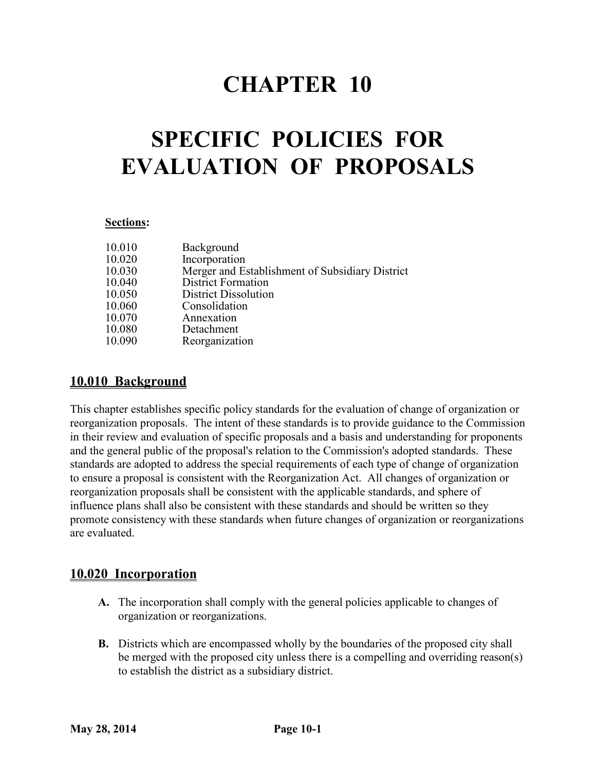## **CHAPTER 10**

# **SPECIFIC POLICIES FOR EVALUATION OF PROPOSALS**

#### **Sections:**

| 10.010 | Background                                      |
|--------|-------------------------------------------------|
| 10.020 | Incorporation                                   |
| 10.030 | Merger and Establishment of Subsidiary District |
| 10.040 | <b>District Formation</b>                       |
| 10.050 | <b>District Dissolution</b>                     |
| 10.060 | Consolidation                                   |
| 10.070 | Annexation                                      |
| 10.080 | Detachment                                      |
| 10.090 | Reorganization                                  |

## **10.010 Background**

This chapter establishes specific policy standards for the evaluation of change of organization or reorganization proposals. The intent of these standards is to provide guidance to the Commission in their review and evaluation of specific proposals and a basis and understanding for proponents and the general public of the proposal's relation to the Commission's adopted standards. These standards are adopted to address the special requirements of each type of change of organization to ensure a proposal is consistent with the Reorganization Act. All changes of organization or reorganization proposals shall be consistent with the applicable standards, and sphere of influence plans shall also be consistent with these standards and should be written so they promote consistency with these standards when future changes of organization or reorganizations are evaluated.

## **10.020 Incorporation**

- **A.** The incorporation shall comply with the general policies applicable to changes of organization or reorganizations.
- **B.** Districts which are encompassed wholly by the boundaries of the proposed city shall be merged with the proposed city unless there is a compelling and overriding reason(s) to establish the district as a subsidiary district.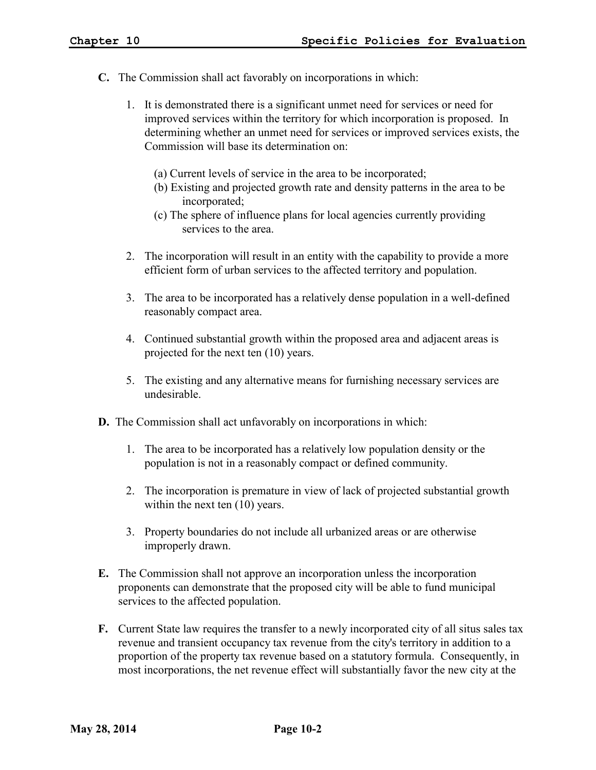- **C.** The Commission shall act favorably on incorporations in which:
	- 1. It is demonstrated there is a significant unmet need for services or need for improved services within the territory for which incorporation is proposed. In determining whether an unmet need for services or improved services exists, the Commission will base its determination on:
		- (a) Current levels of service in the area to be incorporated;
		- (b) Existing and projected growth rate and density patterns in the area to be incorporated;
		- (c) The sphere of influence plans for local agencies currently providing services to the area.
	- 2. The incorporation will result in an entity with the capability to provide a more efficient form of urban services to the affected territory and population.
	- 3. The area to be incorporated has a relatively dense population in a well-defined reasonably compact area.
	- 4. Continued substantial growth within the proposed area and adjacent areas is projected for the next ten (10) years.
	- 5. The existing and any alternative means for furnishing necessary services are undesirable.
- **D.** The Commission shall act unfavorably on incorporations in which:
	- 1. The area to be incorporated has a relatively low population density or the population is not in a reasonably compact or defined community.
	- 2. The incorporation is premature in view of lack of projected substantial growth within the next ten  $(10)$  years.
	- 3. Property boundaries do not include all urbanized areas or are otherwise improperly drawn.
- **E.** The Commission shall not approve an incorporation unless the incorporation proponents can demonstrate that the proposed city will be able to fund municipal services to the affected population.
- **F.** Current State law requires the transfer to a newly incorporated city of all situs sales tax revenue and transient occupancy tax revenue from the city's territory in addition to a proportion of the property tax revenue based on a statutory formula. Consequently, in most incorporations, the net revenue effect will substantially favor the new city at the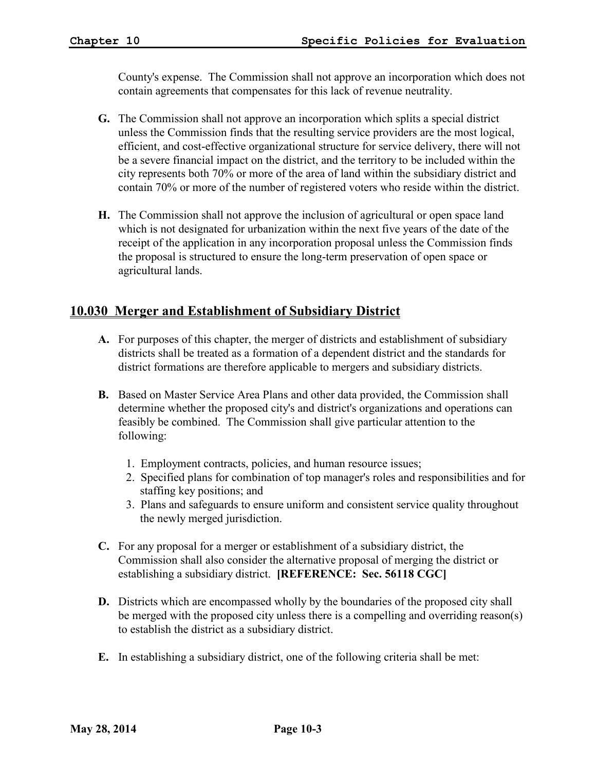County's expense. The Commission shall not approve an incorporation which does not contain agreements that compensates for this lack of revenue neutrality.

- **G.** The Commission shall not approve an incorporation which splits a special district unless the Commission finds that the resulting service providers are the most logical, efficient, and cost-effective organizational structure for service delivery, there will not be a severe financial impact on the district, and the territory to be included within the city represents both 70% or more of the area of land within the subsidiary district and contain 70% or more of the number of registered voters who reside within the district.
- **H.** The Commission shall not approve the inclusion of agricultural or open space land which is not designated for urbanization within the next five years of the date of the receipt of the application in any incorporation proposal unless the Commission finds the proposal is structured to ensure the long-term preservation of open space or agricultural lands.

## **10.030 Merger and Establishment of Subsidiary District**

- **A.** For purposes of this chapter, the merger of districts and establishment of subsidiary districts shall be treated as a formation of a dependent district and the standards for district formations are therefore applicable to mergers and subsidiary districts.
- **B.** Based on Master Service Area Plans and other data provided, the Commission shall determine whether the proposed city's and district's organizations and operations can feasibly be combined. The Commission shall give particular attention to the following:
	- 1. Employment contracts, policies, and human resource issues;
	- 2. Specified plans for combination of top manager's roles and responsibilities and for staffing key positions; and
	- 3. Plans and safeguards to ensure uniform and consistent service quality throughout the newly merged jurisdiction.
- **C.** For any proposal for a merger or establishment of a subsidiary district, the Commission shall also consider the alternative proposal of merging the district or establishing a subsidiary district. **[REFERENCE: Sec. 56118 CGC]**
- **D.** Districts which are encompassed wholly by the boundaries of the proposed city shall be merged with the proposed city unless there is a compelling and overriding reason(s) to establish the district as a subsidiary district.
- **E.** In establishing a subsidiary district, one of the following criteria shall be met: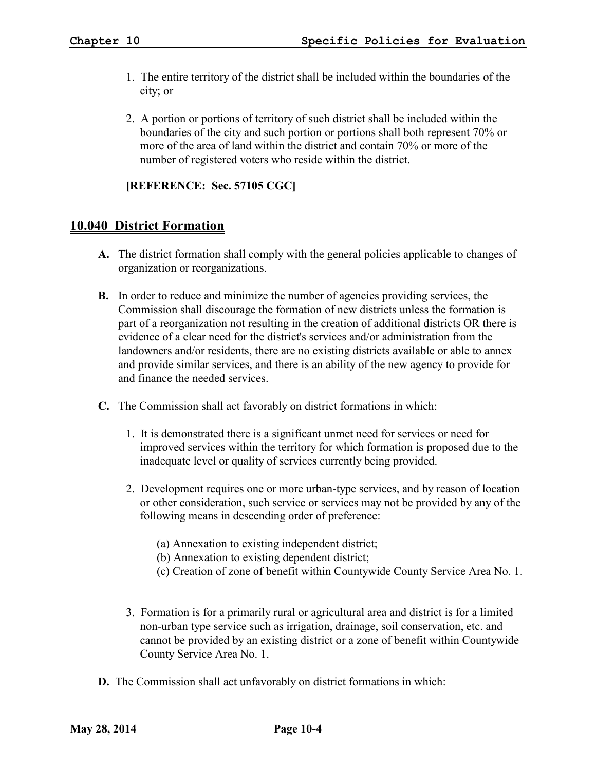- 1. The entire territory of the district shall be included within the boundaries of the city; or
- 2. A portion or portions of territory of such district shall be included within the boundaries of the city and such portion or portions shall both represent 70% or more of the area of land within the district and contain 70% or more of the number of registered voters who reside within the district.

#### **[REFERENCE: Sec. 57105 CGC]**

#### **10.040 District Formation**

- **A.** The district formation shall comply with the general policies applicable to changes of organization or reorganizations.
- **B.** In order to reduce and minimize the number of agencies providing services, the Commission shall discourage the formation of new districts unless the formation is part of a reorganization not resulting in the creation of additional districts OR there is evidence of a clear need for the district's services and/or administration from the landowners and/or residents, there are no existing districts available or able to annex and provide similar services, and there is an ability of the new agency to provide for and finance the needed services.
- **C.** The Commission shall act favorably on district formations in which:
	- 1. It is demonstrated there is a significant unmet need for services or need for improved services within the territory for which formation is proposed due to the inadequate level or quality of services currently being provided.
	- 2. Development requires one or more urban-type services, and by reason of location or other consideration, such service or services may not be provided by any of the following means in descending order of preference:
		- (a) Annexation to existing independent district;
		- (b) Annexation to existing dependent district;
		- (c) Creation of zone of benefit within Countywide County Service Area No. 1.
	- 3. Formation is for a primarily rural or agricultural area and district is for a limited non-urban type service such as irrigation, drainage, soil conservation, etc. and cannot be provided by an existing district or a zone of benefit within Countywide County Service Area No. 1.
- **D.** The Commission shall act unfavorably on district formations in which: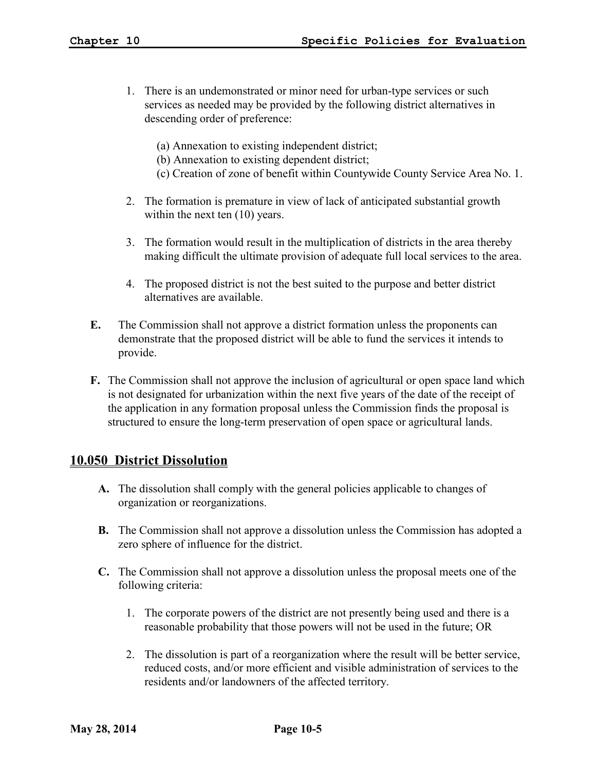- 1. There is an undemonstrated or minor need for urban-type services or such services as needed may be provided by the following district alternatives in descending order of preference:
	- (a) Annexation to existing independent district;
	- (b) Annexation to existing dependent district;
	- (c) Creation of zone of benefit within Countywide County Service Area No. 1.
- 2. The formation is premature in view of lack of anticipated substantial growth within the next ten  $(10)$  years.
- 3. The formation would result in the multiplication of districts in the area thereby making difficult the ultimate provision of adequate full local services to the area.
- 4. The proposed district is not the best suited to the purpose and better district alternatives are available.
- **E.** The Commission shall not approve a district formation unless the proponents can demonstrate that the proposed district will be able to fund the services it intends to provide.
- **F.** The Commission shall not approve the inclusion of agricultural or open space land which is not designated for urbanization within the next five years of the date of the receipt of the application in any formation proposal unless the Commission finds the proposal is structured to ensure the long-term preservation of open space or agricultural lands.

#### **10.050 District Dissolution**

- **A.** The dissolution shall comply with the general policies applicable to changes of organization or reorganizations.
- **B.** The Commission shall not approve a dissolution unless the Commission has adopted a zero sphere of influence for the district.
- **C.** The Commission shall not approve a dissolution unless the proposal meets one of the following criteria:
	- 1. The corporate powers of the district are not presently being used and there is a reasonable probability that those powers will not be used in the future; OR
	- 2. The dissolution is part of a reorganization where the result will be better service, reduced costs, and/or more efficient and visible administration of services to the residents and/or landowners of the affected territory.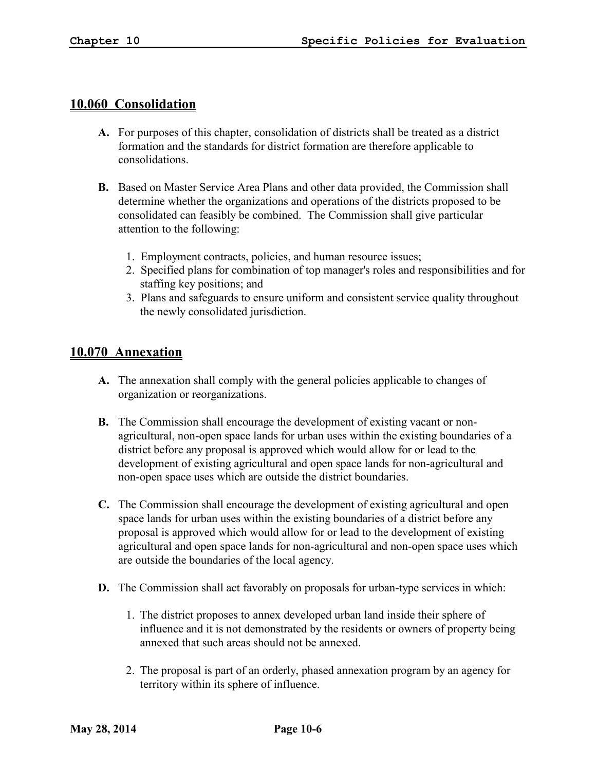#### **10.060 Consolidation**

- **A.** For purposes of this chapter, consolidation of districts shall be treated as a district formation and the standards for district formation are therefore applicable to consolidations.
- **B.** Based on Master Service Area Plans and other data provided, the Commission shall determine whether the organizations and operations of the districts proposed to be consolidated can feasibly be combined. The Commission shall give particular attention to the following:
	- 1. Employment contracts, policies, and human resource issues;
	- 2. Specified plans for combination of top manager's roles and responsibilities and for staffing key positions; and
	- 3. Plans and safeguards to ensure uniform and consistent service quality throughout the newly consolidated jurisdiction.

### **10.070 Annexation**

- **A.** The annexation shall comply with the general policies applicable to changes of organization or reorganizations.
- **B.** The Commission shall encourage the development of existing vacant or nonagricultural, non-open space lands for urban uses within the existing boundaries of a district before any proposal is approved which would allow for or lead to the development of existing agricultural and open space lands for non-agricultural and non-open space uses which are outside the district boundaries.
- **C.** The Commission shall encourage the development of existing agricultural and open space lands for urban uses within the existing boundaries of a district before any proposal is approved which would allow for or lead to the development of existing agricultural and open space lands for non-agricultural and non-open space uses which are outside the boundaries of the local agency.
- **D.** The Commission shall act favorably on proposals for urban-type services in which:
	- 1. The district proposes to annex developed urban land inside their sphere of influence and it is not demonstrated by the residents or owners of property being annexed that such areas should not be annexed.
	- 2. The proposal is part of an orderly, phased annexation program by an agency for territory within its sphere of influence.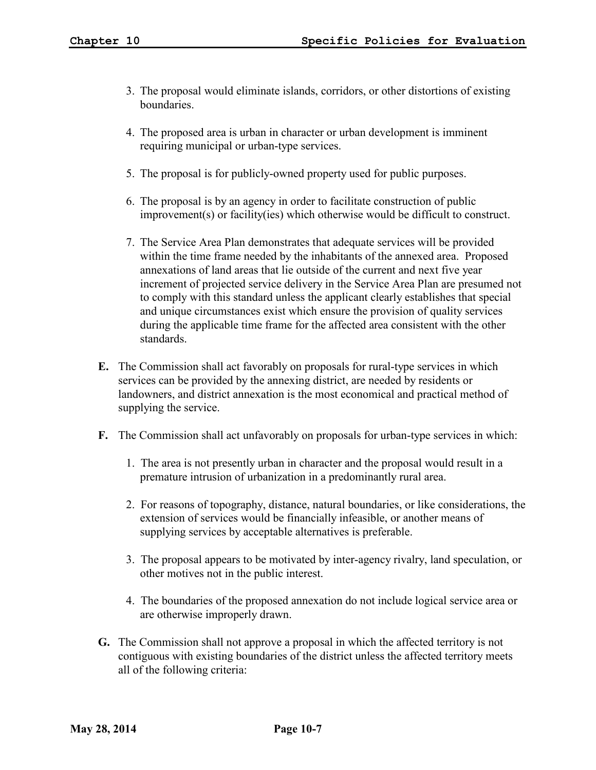- 3. The proposal would eliminate islands, corridors, or other distortions of existing **boundaries**
- 4. The proposed area is urban in character or urban development is imminent requiring municipal or urban-type services.
- 5. The proposal is for publicly-owned property used for public purposes.
- 6. The proposal is by an agency in order to facilitate construction of public improvement(s) or facility(ies) which otherwise would be difficult to construct.
- 7. The Service Area Plan demonstrates that adequate services will be provided within the time frame needed by the inhabitants of the annexed area. Proposed annexations of land areas that lie outside of the current and next five year increment of projected service delivery in the Service Area Plan are presumed not to comply with this standard unless the applicant clearly establishes that special and unique circumstances exist which ensure the provision of quality services during the applicable time frame for the affected area consistent with the other standards.
- **E.** The Commission shall act favorably on proposals for rural-type services in which services can be provided by the annexing district, are needed by residents or landowners, and district annexation is the most economical and practical method of supplying the service.
- **F.** The Commission shall act unfavorably on proposals for urban-type services in which:
	- 1. The area is not presently urban in character and the proposal would result in a premature intrusion of urbanization in a predominantly rural area.
	- 2. For reasons of topography, distance, natural boundaries, or like considerations, the extension of services would be financially infeasible, or another means of supplying services by acceptable alternatives is preferable.
	- 3. The proposal appears to be motivated by inter-agency rivalry, land speculation, or other motives not in the public interest.
	- 4. The boundaries of the proposed annexation do not include logical service area or are otherwise improperly drawn.
- **G.** The Commission shall not approve a proposal in which the affected territory is not contiguous with existing boundaries of the district unless the affected territory meets all of the following criteria: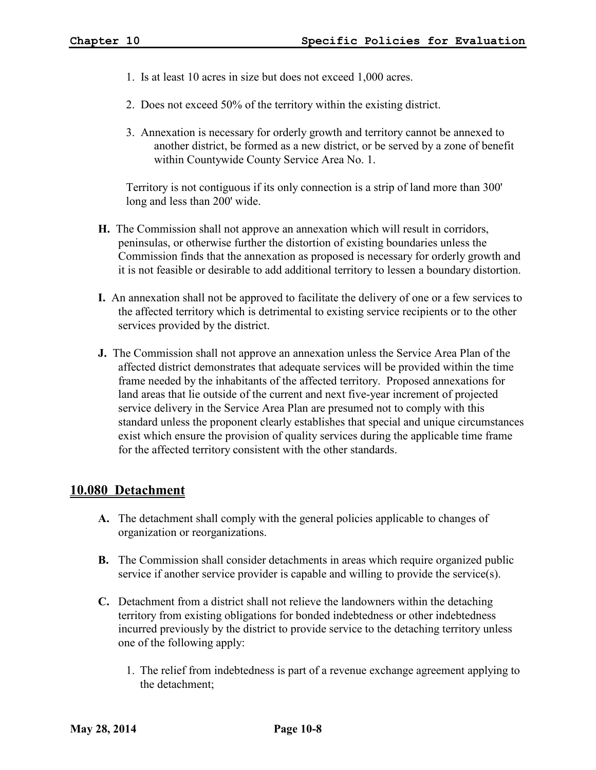- 1. Is at least 10 acres in size but does not exceed 1,000 acres.
- 2. Does not exceed 50% of the territory within the existing district.
- 3. Annexation is necessary for orderly growth and territory cannot be annexed to another district, be formed as a new district, or be served by a zone of benefit within Countywide County Service Area No. 1.

Territory is not contiguous if its only connection is a strip of land more than 300' long and less than 200' wide.

- **H.** The Commission shall not approve an annexation which will result in corridors, peninsulas, or otherwise further the distortion of existing boundaries unless the Commission finds that the annexation as proposed is necessary for orderly growth and it is not feasible or desirable to add additional territory to lessen a boundary distortion.
- **I.** An annexation shall not be approved to facilitate the delivery of one or a few services to the affected territory which is detrimental to existing service recipients or to the other services provided by the district.
- **J.** The Commission shall not approve an annexation unless the Service Area Plan of the affected district demonstrates that adequate services will be provided within the time frame needed by the inhabitants of the affected territory. Proposed annexations for land areas that lie outside of the current and next five-year increment of projected service delivery in the Service Area Plan are presumed not to comply with this standard unless the proponent clearly establishes that special and unique circumstances exist which ensure the provision of quality services during the applicable time frame for the affected territory consistent with the other standards.

#### **10.080 Detachment**

- **A.** The detachment shall comply with the general policies applicable to changes of organization or reorganizations.
- **B.** The Commission shall consider detachments in areas which require organized public service if another service provider is capable and willing to provide the service(s).
- **C.** Detachment from a district shall not relieve the landowners within the detaching territory from existing obligations for bonded indebtedness or other indebtedness incurred previously by the district to provide service to the detaching territory unless one of the following apply:
	- 1. The relief from indebtedness is part of a revenue exchange agreement applying to the detachment;